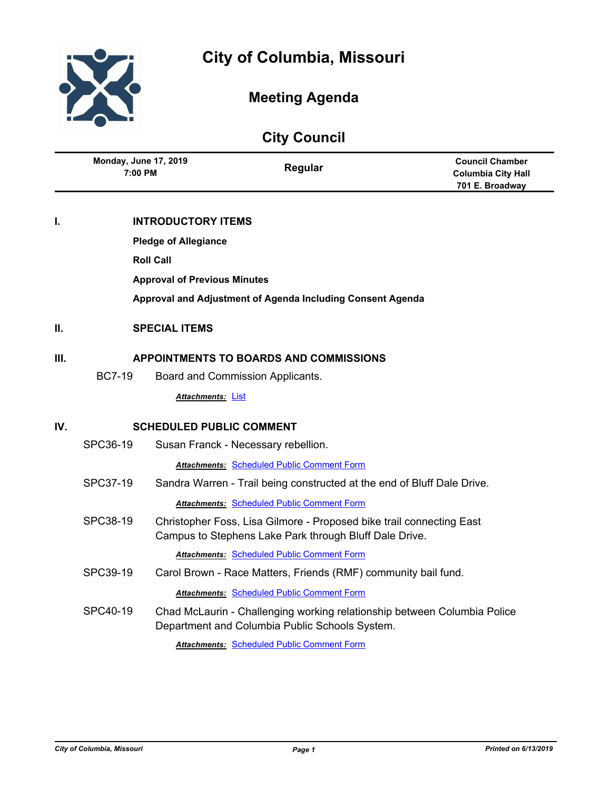

# **City of Columbia, Missouri**

# **Meeting Agenda**

# **City Council Regular Council Chamber Columbia City Hall 701 E. Broadway 7:00 PM Monday, June 17, 2019 I. INTRODUCTORY ITEMS Pledge of Allegiance Roll Call Approval of Previous Minutes Approval and Adjustment of Agenda Including Consent Agenda II. SPECIAL ITEMS III. APPOINTMENTS TO BOARDS AND COMMISSIONS** BC7-19 Board and Commission Applicants. *Attachments:* [List](http://gocolumbiamo.legistar.com/gateway.aspx?M=F&ID=cdb315fb-504d-43b9-9acb-c65127882db4.pdf) **IV. SCHEDULED PUBLIC COMMENT** SPC36-19 Susan Franck - Necessary rebellion. *Attachments:* [Scheduled Public Comment Form](http://gocolumbiamo.legistar.com/gateway.aspx?M=F&ID=fa13437c-771d-472a-92bd-33076c2dceb3.pdf) SPC37-19 Sandra Warren - Trail being constructed at the end of Bluff Dale Drive. *Attachments:* [Scheduled Public Comment Form](http://gocolumbiamo.legistar.com/gateway.aspx?M=F&ID=463b7a95-4686-4c4c-bf90-c295f07f0950.pdf) SPC38-19 Christopher Foss, Lisa Gilmore - Proposed bike trail connecting East Campus to Stephens Lake Park through Bluff Dale Drive. *Attachments:* [Scheduled Public Comment Form](http://gocolumbiamo.legistar.com/gateway.aspx?M=F&ID=34dc77a8-6ed3-42e3-b449-bb6614aab6ff.pdf) SPC39-19 Carol Brown - Race Matters, Friends (RMF) community bail fund. *Attachments:* [Scheduled Public Comment Form](http://gocolumbiamo.legistar.com/gateway.aspx?M=F&ID=beab71e2-9329-41b4-a5ac-b2dac9cdb139.pdf) SPC40-19 Chad McLaurin - Challenging working relationship between Columbia Police Department and Columbia Public Schools System. *Attachments:* [Scheduled Public Comment Form](http://gocolumbiamo.legistar.com/gateway.aspx?M=F&ID=2edf7e84-9a16-4d76-9b70-b01389164c6c.pdf)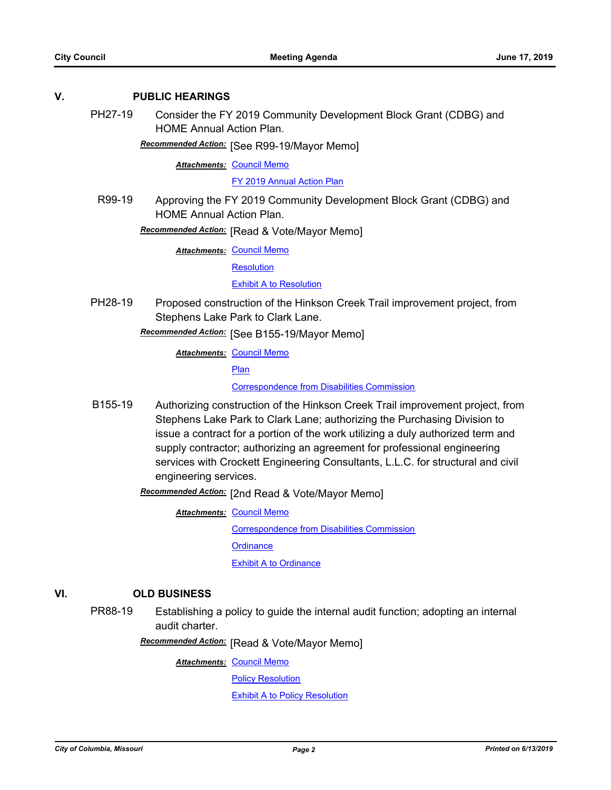#### **V. PUBLIC HEARINGS**

PH27-19 Consider the FY 2019 Community Development Block Grant (CDBG) and HOME Annual Action Plan.

**Recommended Action:** [See R99-19/Mayor Memo]

**Attachments: [Council Memo](http://gocolumbiamo.legistar.com/gateway.aspx?M=F&ID=c8f4a07d-951e-419e-bb59-2f230976115c.docx)** 

[FY 2019 Annual Action Plan](http://gocolumbiamo.legistar.com/gateway.aspx?M=F&ID=b9b24fec-76dd-491f-93b5-230f7de36244.pdf)

R99-19 Approving the FY 2019 Community Development Block Grant (CDBG) and HOME Annual Action Plan.

**Recommended Action:** [Read & Vote/Mayor Memo]

**Attachments: [Council Memo](http://gocolumbiamo.legistar.com/gateway.aspx?M=F&ID=cbf44466-de5f-4f4a-9416-7c288f236d2d.docx)** 

**[Resolution](http://gocolumbiamo.legistar.com/gateway.aspx?M=F&ID=b60562c6-8bb7-4207-a0fb-d5eaf506aad4.doc)** 

[Exhibit A to Resolution](http://gocolumbiamo.legistar.com/gateway.aspx?M=F&ID=eceaf097-d59e-4532-8aeb-9799eff93b9d.pdf)

PH28-19 Proposed construction of the Hinkson Creek Trail improvement project, from Stephens Lake Park to Clark Lane.

[See B155-19/Mayor Memo] *Recommended Action:*

**Attachments: [Council Memo](http://gocolumbiamo.legistar.com/gateway.aspx?M=F&ID=20ba5f5e-62e5-4656-8248-78345d4a82e8.docx)** 

[Plan](http://gocolumbiamo.legistar.com/gateway.aspx?M=F&ID=8fd824bc-8801-4b7b-8540-b93a496aa8f4.pdf)

[Correspondence from Disabilities Commission](http://gocolumbiamo.legistar.com/gateway.aspx?M=F&ID=7bffc4a3-23e1-4982-a028-8a4115403360.pdf)

B155-19 Authorizing construction of the Hinkson Creek Trail improvement project, from Stephens Lake Park to Clark Lane; authorizing the Purchasing Division to issue a contract for a portion of the work utilizing a duly authorized term and supply contractor; authorizing an agreement for professional engineering services with Crockett Engineering Consultants, L.L.C. for structural and civil engineering services.

Recommended Action: [2nd Read & Vote/Mayor Memo]

**Attachments: [Council Memo](http://gocolumbiamo.legistar.com/gateway.aspx?M=F&ID=a48a626a-34a7-401f-b9b1-4e0416425134.docx)** [Correspondence from Disabilities Commission](http://gocolumbiamo.legistar.com/gateway.aspx?M=F&ID=786a511b-156d-4983-83b6-c19b03bec3b3.pdf) **[Ordinance](http://gocolumbiamo.legistar.com/gateway.aspx?M=F&ID=f7379c9a-cd49-4609-a209-393ee5e5de31.doc)** [Exhibit A to Ordinance](http://gocolumbiamo.legistar.com/gateway.aspx?M=F&ID=943467b4-8458-412b-9168-82e7a014bd80.pdf)

## **VI. OLD BUSINESS**

PR88-19 Establishing a policy to guide the internal audit function; adopting an internal audit charter.

**Recommended Action:** [Read & Vote/Mayor Memo]

**Attachments: [Council Memo](http://gocolumbiamo.legistar.com/gateway.aspx?M=F&ID=6ad45b80-59e4-4471-8059-d632fd0cd237.docx)** 

[Policy Resolution](http://gocolumbiamo.legistar.com/gateway.aspx?M=F&ID=1d2be1d8-0c76-4f35-9358-bed5fe5b2a08.doc)

[Exhibit A to Policy Resolution](http://gocolumbiamo.legistar.com/gateway.aspx?M=F&ID=255199ee-ca88-4e24-9993-2bb611c94faa.pdf)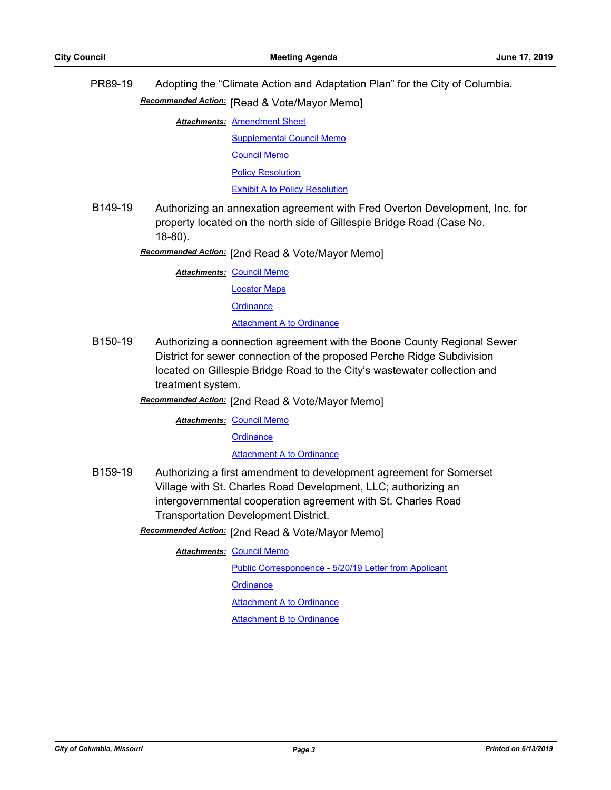PR89-19 Adopting the "Climate Action and Adaptation Plan" for the City of Columbia.

**Recommended Action:** [Read & Vote/Mayor Memo]

**Attachments: [Amendment Sheet](http://gocolumbiamo.legistar.com/gateway.aspx?M=F&ID=5aefe1d4-56b6-4c98-81e4-0e0905bf2311.pdf)** 

[Supplemental Council Memo](http://gocolumbiamo.legistar.com/gateway.aspx?M=F&ID=e4b5029a-882b-4281-9a01-a621cd8f0a2c.pdf) [Council Memo](http://gocolumbiamo.legistar.com/gateway.aspx?M=F&ID=a2dfd700-3b94-48fd-a1bd-cee816ded7d2.docx) [Policy Resolution](http://gocolumbiamo.legistar.com/gateway.aspx?M=F&ID=5e6526bd-dd54-4099-ab2a-09a93f272574.doc) [Exhibit A to Policy Resolution](http://gocolumbiamo.legistar.com/gateway.aspx?M=F&ID=ca3e4981-784e-4b63-bb9e-0c0d58e59687.pdf)

B149-19 Authorizing an annexation agreement with Fred Overton Development, Inc. for property located on the north side of Gillespie Bridge Road (Case No. 18-80).

Recommended Action: [2nd Read & Vote/Mayor Memo]

**Attachments: [Council Memo](http://gocolumbiamo.legistar.com/gateway.aspx?M=F&ID=d9a5a903-7168-4d5b-b76b-90417c5bf128.docx)** 

[Locator Maps](http://gocolumbiamo.legistar.com/gateway.aspx?M=F&ID=e3b5f4e6-2074-4b3e-889a-b728aa1d1b20.pdf)

**[Ordinance](http://gocolumbiamo.legistar.com/gateway.aspx?M=F&ID=eee4257b-b623-4f77-af5f-0165ce183320.doc)** 

#### [Attachment A to Ordinance](http://gocolumbiamo.legistar.com/gateway.aspx?M=F&ID=bd3126cd-e903-474c-854e-2287387c59af.pdf)

- B150-19 Authorizing a connection agreement with the Boone County Regional Sewer District for sewer connection of the proposed Perche Ridge Subdivision located on Gillespie Bridge Road to the City's wastewater collection and treatment system.
	- Recommended Action: [2nd Read & Vote/Mayor Memo]

**Attachments: [Council Memo](http://gocolumbiamo.legistar.com/gateway.aspx?M=F&ID=23e473bc-678d-49b2-bb3b-1c4a9d7c6ceb.docx)** 

**[Ordinance](http://gocolumbiamo.legistar.com/gateway.aspx?M=F&ID=1cedc001-19e5-4055-9934-db049bf9eef4.doc)** 

[Attachment A to Ordinance](http://gocolumbiamo.legistar.com/gateway.aspx?M=F&ID=dae000ae-239b-4798-9d72-4b1fbbfb6828.pdf)

B159-19 Authorizing a first amendment to development agreement for Somerset Village with St. Charles Road Development, LLC; authorizing an intergovernmental cooperation agreement with St. Charles Road Transportation Development District.

Recommended Action: [2nd Read & Vote/Mayor Memo]

**Attachments: [Council Memo](http://gocolumbiamo.legistar.com/gateway.aspx?M=F&ID=54325ec0-a346-45f7-b9b0-98a12102fe77.docx)** 

[Public Correspondence - 5/20/19 Letter from Applicant](http://gocolumbiamo.legistar.com/gateway.aspx?M=F&ID=55f9a04a-ec35-452f-8ae9-85c007752479.pdf)

**[Ordinance](http://gocolumbiamo.legistar.com/gateway.aspx?M=F&ID=069989d6-dd54-439c-b3b4-130b9c13f029.doc)** 

**[Attachment A to Ordinance](http://gocolumbiamo.legistar.com/gateway.aspx?M=F&ID=efe516e8-d5ed-446e-8e29-423cbe0c8850.pdf)** 

[Attachment B to Ordinance](http://gocolumbiamo.legistar.com/gateway.aspx?M=F&ID=42f3c15a-d18b-456e-af58-87683c2603cf.pdf)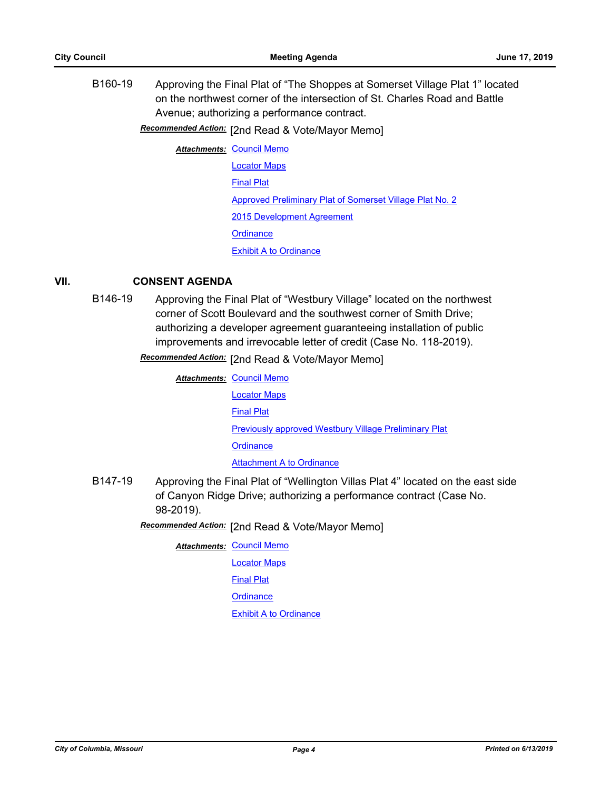B160-19 Approving the Final Plat of "The Shoppes at Somerset Village Plat 1" located on the northwest corner of the intersection of St. Charles Road and Battle Avenue; authorizing a performance contract.

[2nd Read & Vote/Mayor Memo] *Recommended Action:*

**Attachments: [Council Memo](http://gocolumbiamo.legistar.com/gateway.aspx?M=F&ID=e864d6d8-1448-46fd-adc9-91497026c1ff.docx)** [Locator Maps](http://gocolumbiamo.legistar.com/gateway.aspx?M=F&ID=bba0f9fa-15a7-4681-a48d-86064a6da59c.pdf) [Final Plat](http://gocolumbiamo.legistar.com/gateway.aspx?M=F&ID=83e04c85-f7d9-4a86-9d01-1699f8e4c0d4.pdf) [Approved Preliminary Plat of Somerset Village Plat No. 2](http://gocolumbiamo.legistar.com/gateway.aspx?M=F&ID=5dbc5311-6eed-422b-88b5-2c80a7862f21.pdf) [2015 Development Agreement](http://gocolumbiamo.legistar.com/gateway.aspx?M=F&ID=ecf4007d-bfcd-4ddf-b8c5-023b7fb2be43.pdf) **[Ordinance](http://gocolumbiamo.legistar.com/gateway.aspx?M=F&ID=23ba4fb5-2279-4ec0-a3ef-928e482d6029.doc)** [Exhibit A to Ordinance](http://gocolumbiamo.legistar.com/gateway.aspx?M=F&ID=ef5ee245-ed49-41ad-986c-ec6a31f43fa9.pdf)

### **VII. CONSENT AGENDA**

B146-19 Approving the Final Plat of "Westbury Village" located on the northwest corner of Scott Boulevard and the southwest corner of Smith Drive; authorizing a developer agreement guaranteeing installation of public improvements and irrevocable letter of credit (Case No. 118-2019).

**Recommended Action:** [2nd Read & Vote/Mayor Memo]

| <b>Attachments: Council Memo</b>                             |
|--------------------------------------------------------------|
| <b>Locator Maps</b>                                          |
| <b>Final Plat</b>                                            |
| <b>Previously approved Westbury Village Preliminary Plat</b> |
| Ordinance                                                    |
| <b>Attachment A to Ordinance</b>                             |

B147-19 Approving the Final Plat of "Wellington Villas Plat 4" located on the east side of Canyon Ridge Drive; authorizing a performance contract (Case No. 98-2019).

Recommended Action: [2nd Read & Vote/Mayor Memo]

**Attachments: [Council Memo](http://gocolumbiamo.legistar.com/gateway.aspx?M=F&ID=5cc90d63-ba61-40e0-8b09-564903e13523.docx)** 

[Locator Maps](http://gocolumbiamo.legistar.com/gateway.aspx?M=F&ID=7a6b271b-3892-4f0a-80c5-0babf4b23af9.pdf)

[Final Plat](http://gocolumbiamo.legistar.com/gateway.aspx?M=F&ID=3df01cbe-27c7-48a3-b6e4-bed1bf0f6b87.pdf)

**[Ordinance](http://gocolumbiamo.legistar.com/gateway.aspx?M=F&ID=3d5c78e6-0864-4678-aaaa-e5d56eafed69.doc)** 

[Exhibit A to Ordinance](http://gocolumbiamo.legistar.com/gateway.aspx?M=F&ID=f29149e6-f9e2-4162-8a2d-b9727349733e.pdf)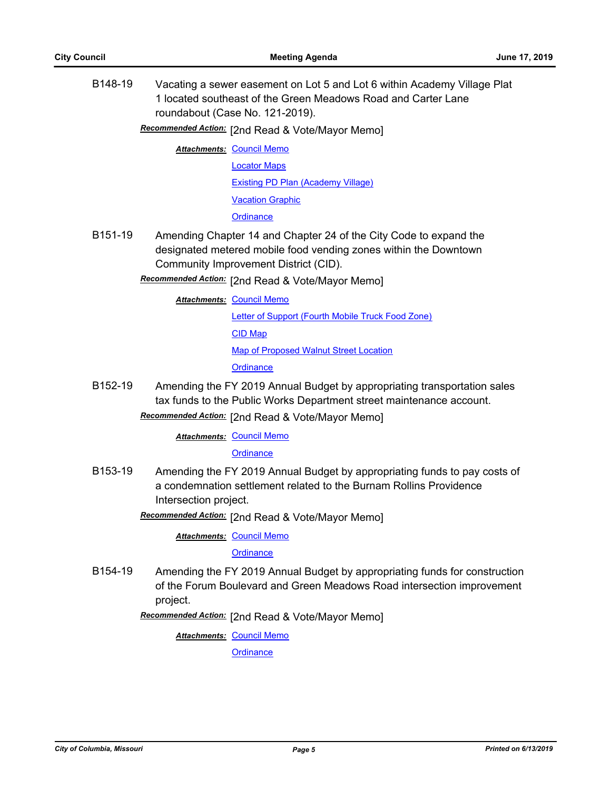B148-19 Vacating a sewer easement on Lot 5 and Lot 6 within Academy Village Plat 1 located southeast of the Green Meadows Road and Carter Lane roundabout (Case No. 121-2019).

Recommended Action: [2nd Read & Vote/Mayor Memo]

**Attachments: [Council Memo](http://gocolumbiamo.legistar.com/gateway.aspx?M=F&ID=bd45f8db-1fac-408a-8e98-11f1579fda9a.docx)** 

[Locator Maps](http://gocolumbiamo.legistar.com/gateway.aspx?M=F&ID=3de32d05-e2ec-4759-81f3-792a3393c447.pdf)

[Existing PD Plan \(Academy Village\)](http://gocolumbiamo.legistar.com/gateway.aspx?M=F&ID=0f8e5823-101f-4909-b83b-6545eb036aac.pdf)

[Vacation Graphic](http://gocolumbiamo.legistar.com/gateway.aspx?M=F&ID=55e4dc43-a07d-4af7-b2f6-7a9d61c3ce75.pdf)

**[Ordinance](http://gocolumbiamo.legistar.com/gateway.aspx?M=F&ID=7b429cf7-5ac9-43bc-82ad-6d255341a7fe.doc)** 

B151-19 Amending Chapter 14 and Chapter 24 of the City Code to expand the designated metered mobile food vending zones within the Downtown Community Improvement District (CID).

Recommended Action: [2nd Read & Vote/Mayor Memo]

**Attachments: [Council Memo](http://gocolumbiamo.legistar.com/gateway.aspx?M=F&ID=2b8c186b-5559-4286-97ad-ad6a5839376c.docx)** 

[Letter of Support \(Fourth Mobile Truck Food Zone\)](http://gocolumbiamo.legistar.com/gateway.aspx?M=F&ID=fcb1f509-34f2-46cc-beb2-4fa21ab34a8d.pdf)

[CID Map](http://gocolumbiamo.legistar.com/gateway.aspx?M=F&ID=f637ebc1-87f5-4fab-aafc-3ddc4e6d0e35.pdf)

[Map of Proposed Walnut Street Location](http://gocolumbiamo.legistar.com/gateway.aspx?M=F&ID=f3a76216-17e6-4c2d-8643-67fe8fa2ab7f.pdf)

**[Ordinance](http://gocolumbiamo.legistar.com/gateway.aspx?M=F&ID=b01554f3-4804-44fd-aa06-c7cbb788d8ce.doc)** 

B152-19 Amending the FY 2019 Annual Budget by appropriating transportation sales tax funds to the Public Works Department street maintenance account.

Recommended Action: [2nd Read & Vote/Mayor Memo]

**Attachments: [Council Memo](http://gocolumbiamo.legistar.com/gateway.aspx?M=F&ID=0aef4a30-e704-484a-8c52-b8c4cefc1d15.docx)** 

**[Ordinance](http://gocolumbiamo.legistar.com/gateway.aspx?M=F&ID=7e7ac747-f4c8-466e-9164-e41b6931053e.doc)** 

B153-19 Amending the FY 2019 Annual Budget by appropriating funds to pay costs of a condemnation settlement related to the Burnam Rollins Providence Intersection project.

[2nd Read & Vote/Mayor Memo] *Recommended Action:*

**Attachments: [Council Memo](http://gocolumbiamo.legistar.com/gateway.aspx?M=F&ID=bf46547b-537a-4748-b0db-ddcdc3494a4d.docx)** 

**[Ordinance](http://gocolumbiamo.legistar.com/gateway.aspx?M=F&ID=e9caf769-b274-404f-b2d6-3bd18197c98d.doc)** 

B154-19 Amending the FY 2019 Annual Budget by appropriating funds for construction of the Forum Boulevard and Green Meadows Road intersection improvement project.

Recommended Action: [2nd Read & Vote/Mayor Memo]

**Attachments: [Council Memo](http://gocolumbiamo.legistar.com/gateway.aspx?M=F&ID=04318aeb-fbde-4840-8a16-8986a7ae3184.docx)** 

**[Ordinance](http://gocolumbiamo.legistar.com/gateway.aspx?M=F&ID=da0e27de-e499-4df2-824c-548d76ae2c36.doc)**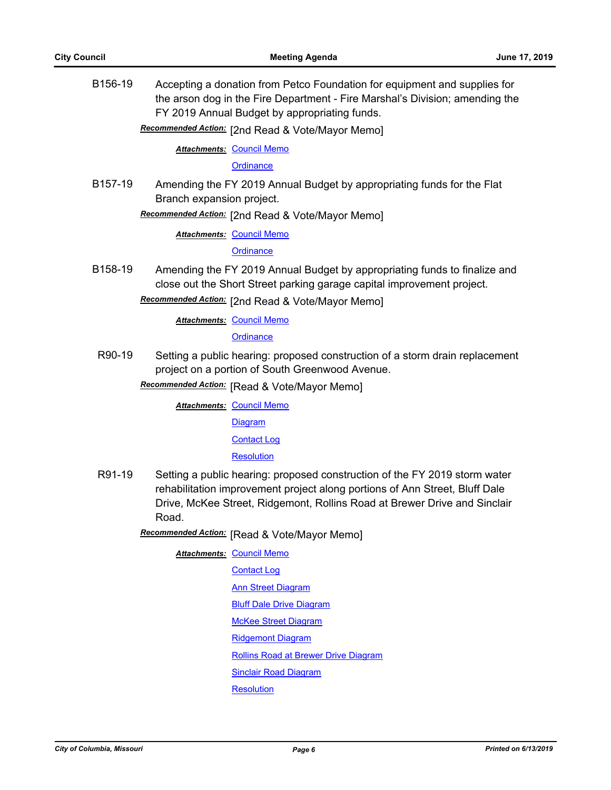B156-19 Accepting a donation from Petco Foundation for equipment and supplies for the arson dog in the Fire Department - Fire Marshal's Division; amending the FY 2019 Annual Budget by appropriating funds.

Recommended Action: [2nd Read & Vote/Mayor Memo]

**Attachments: [Council Memo](http://gocolumbiamo.legistar.com/gateway.aspx?M=F&ID=cbb581c6-73bd-47a5-908d-a3da759fb4b2.docx)** 

**[Ordinance](http://gocolumbiamo.legistar.com/gateway.aspx?M=F&ID=42f7e55f-ff7d-4ebe-ad67-d92309ef2eab.doc)** 

B157-19 Amending the FY 2019 Annual Budget by appropriating funds for the Flat Branch expansion project.

Recommended Action: [2nd Read & Vote/Mayor Memo]

**Attachments: [Council Memo](http://gocolumbiamo.legistar.com/gateway.aspx?M=F&ID=8f76c6ba-2230-4404-84e7-f440b95e82ae.docx)** 

#### **[Ordinance](http://gocolumbiamo.legistar.com/gateway.aspx?M=F&ID=6d1202b0-931d-42cc-a0fa-cfb59ed93014.doc)**

B158-19 Amending the FY 2019 Annual Budget by appropriating funds to finalize and close out the Short Street parking garage capital improvement project.

Recommended Action: [2nd Read & Vote/Mayor Memo]

**Attachments: [Council Memo](http://gocolumbiamo.legistar.com/gateway.aspx?M=F&ID=3acaea34-a984-4974-860b-fa5031f61ba5.docx)** 

**[Ordinance](http://gocolumbiamo.legistar.com/gateway.aspx?M=F&ID=9356243a-ff3c-41e2-be77-c0151dd9dc29.doc)** 

R90-19 Setting a public hearing: proposed construction of a storm drain replacement project on a portion of South Greenwood Avenue.

**Recommended Action:** [Read & Vote/Mayor Memo]

**Attachments: [Council Memo](http://gocolumbiamo.legistar.com/gateway.aspx?M=F&ID=c721573e-7bf8-40a8-93ce-b821a944d138.docx)** 

**[Diagram](http://gocolumbiamo.legistar.com/gateway.aspx?M=F&ID=d614dc3b-374d-4f3a-bb47-fa59eda74e9f.pdf)** 

[Contact Log](http://gocolumbiamo.legistar.com/gateway.aspx?M=F&ID=0a5efe6e-7a6a-4aba-b9d1-3b38c1a989af.pdf)

**[Resolution](http://gocolumbiamo.legistar.com/gateway.aspx?M=F&ID=d93987d2-509d-472b-aac8-4e41ab2f9a62.doc)** 

R91-19 Setting a public hearing: proposed construction of the FY 2019 storm water rehabilitation improvement project along portions of Ann Street, Bluff Dale Drive, McKee Street, Ridgemont, Rollins Road at Brewer Drive and Sinclair Road.

**Recommended Action:** [Read & Vote/Mayor Memo]

**Attachments: [Council Memo](http://gocolumbiamo.legistar.com/gateway.aspx?M=F&ID=c3dbeb74-2ecd-43ac-8c64-75056dd46106.docx)** [Contact Log](http://gocolumbiamo.legistar.com/gateway.aspx?M=F&ID=0fa12ebe-576c-49c1-8a9a-e593c7c78bc7.pdf) [Ann Street Diagram](http://gocolumbiamo.legistar.com/gateway.aspx?M=F&ID=f32fff94-f0e2-4493-b118-eb013c62a922.pdf) **[Bluff Dale Drive Diagram](http://gocolumbiamo.legistar.com/gateway.aspx?M=F&ID=8179d2df-4743-4982-9c4c-7e3f2149d354.pdf)** [McKee Street Diagram](http://gocolumbiamo.legistar.com/gateway.aspx?M=F&ID=3e8180a6-08ed-407f-a1e1-f1dcdaf89c3e.pdf) [Ridgemont Diagram](http://gocolumbiamo.legistar.com/gateway.aspx?M=F&ID=fa7189be-6999-4c4e-ab77-9b2ec1224b20.pdf) [Rollins Road at Brewer Drive Diagram](http://gocolumbiamo.legistar.com/gateway.aspx?M=F&ID=6649df49-fcd6-4b79-8d0c-e88ce5fc99d9.pdf) [Sinclair Road Diagram](http://gocolumbiamo.legistar.com/gateway.aspx?M=F&ID=50a0a49c-9d59-48cb-a7a7-4d6104fe1f8a.pdf) **[Resolution](http://gocolumbiamo.legistar.com/gateway.aspx?M=F&ID=986d1938-933b-4c25-ac02-6a1143d65161.doc)**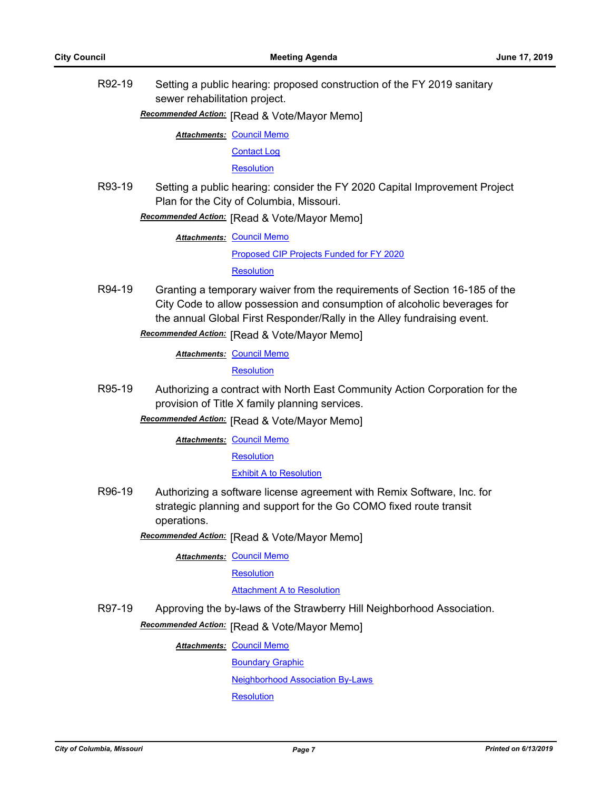R92-19 Setting a public hearing: proposed construction of the FY 2019 sanitary sewer rehabilitation project.

**Recommended Action:** [Read & Vote/Mayor Memo]

**Attachments: [Council Memo](http://gocolumbiamo.legistar.com/gateway.aspx?M=F&ID=0cb48533-1285-4ca9-afa6-e9281405ef57.docx)** 

[Contact Log](http://gocolumbiamo.legistar.com/gateway.aspx?M=F&ID=931d2c90-10f3-4deb-a0a3-7781c8bd9e01.pdf)

**[Resolution](http://gocolumbiamo.legistar.com/gateway.aspx?M=F&ID=f9c28bf8-0bef-4e60-9abd-d65e188f35c4.doc)** 

R93-19 Setting a public hearing: consider the FY 2020 Capital Improvement Project Plan for the City of Columbia, Missouri.

**Recommended Action:** [Read & Vote/Mayor Memo]

**Attachments: [Council Memo](http://gocolumbiamo.legistar.com/gateway.aspx?M=F&ID=5804fa08-1e5f-41d9-850c-6d73f2a8e27e.docx)** 

[Proposed CIP Projects Funded for FY 2020](http://gocolumbiamo.legistar.com/gateway.aspx?M=F&ID=28463f08-e7ee-4f12-9213-888b9b221177.pdf)

**[Resolution](http://gocolumbiamo.legistar.com/gateway.aspx?M=F&ID=10ade142-cbf6-4be6-b5f4-457811cca1ad.doc)** 

R94-19 Granting a temporary waiver from the requirements of Section 16-185 of the City Code to allow possession and consumption of alcoholic beverages for the annual Global First Responder/Rally in the Alley fundraising event.

**Recommended Action:** [Read & Vote/Mayor Memo]

**Attachments: [Council Memo](http://gocolumbiamo.legistar.com/gateway.aspx?M=F&ID=ba1323f7-a524-413f-8d6d-bec26627b92a.docx)** 

**[Resolution](http://gocolumbiamo.legistar.com/gateway.aspx?M=F&ID=4e18f1b3-61f9-4d97-85df-d7747e00b1b8.doc)** 

R95-19 Authorizing a contract with North East Community Action Corporation for the provision of Title X family planning services.

**Recommended Action:** [Read & Vote/Mayor Memo]

**Attachments: [Council Memo](http://gocolumbiamo.legistar.com/gateway.aspx?M=F&ID=43e8327d-be60-45ee-be96-fbb6f8b31a6b.docx)** 

**[Resolution](http://gocolumbiamo.legistar.com/gateway.aspx?M=F&ID=a98918b6-378d-48a8-a733-289c2beb12d5.doc)** 

[Exhibit A to Resolution](http://gocolumbiamo.legistar.com/gateway.aspx?M=F&ID=2e91adbc-a9cb-46cb-abff-3e5122be2d9c.pdf)

R96-19 Authorizing a software license agreement with Remix Software, Inc. for strategic planning and support for the Go COMO fixed route transit operations.

**Recommended Action:** [Read & Vote/Mayor Memo]

**Attachments: [Council Memo](http://gocolumbiamo.legistar.com/gateway.aspx?M=F&ID=ea5d8efd-9871-4b4b-bb3e-35df6e90fdff.docx)** 

**[Resolution](http://gocolumbiamo.legistar.com/gateway.aspx?M=F&ID=03d8d802-b8cb-495b-9b4a-71455f32da37.doc)** 

#### [Attachment A to Resolution](http://gocolumbiamo.legistar.com/gateway.aspx?M=F&ID=a5f41ce3-85af-4040-9e63-79ea59af30e6.pdf)

R97-19 Approving the by-laws of the Strawberry Hill Neighborhood Association.

**Recommended Action:** [Read & Vote/Mayor Memo]

**Attachments: [Council Memo](http://gocolumbiamo.legistar.com/gateway.aspx?M=F&ID=2c41f952-e765-47fd-aa4a-a92bb7dce369.docx)** 

[Boundary Graphic](http://gocolumbiamo.legistar.com/gateway.aspx?M=F&ID=a5436f14-c7b1-4d36-9f03-1b7750ee4604.pdf)

[Neighborhood Association By-Laws](http://gocolumbiamo.legistar.com/gateway.aspx?M=F&ID=bb86e0be-fdfd-40b5-af75-2da38e41b852.pdf)

**[Resolution](http://gocolumbiamo.legistar.com/gateway.aspx?M=F&ID=e208d64e-3c8a-48d4-b5c7-ded933176d8a.doc)**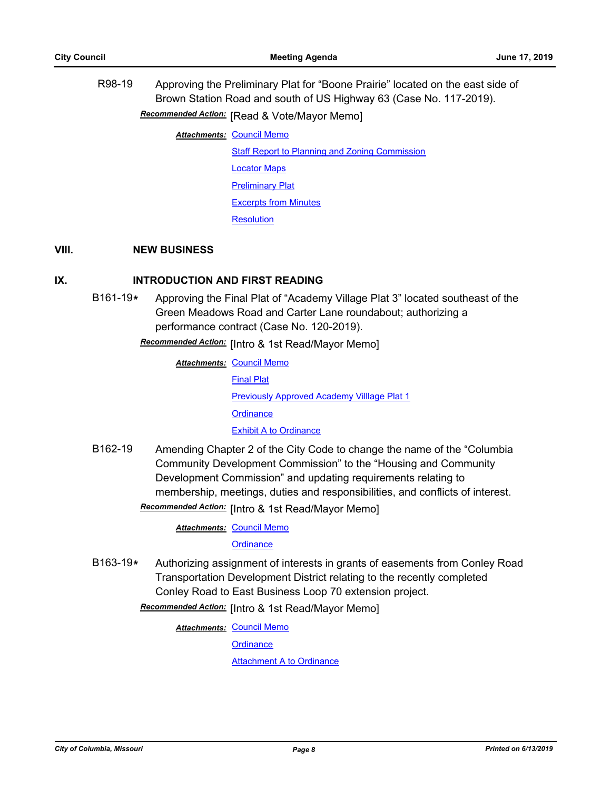R98-19 Approving the Preliminary Plat for "Boone Prairie" located on the east side of Brown Station Road and south of US Highway 63 (Case No. 117-2019). **Recommended Action:** [Read & Vote/Mayor Memo] **Attachments: [Council Memo](http://gocolumbiamo.legistar.com/gateway.aspx?M=F&ID=4b3c1c4d-86cd-4e6e-9e9e-e5bf9f459ffd.docx)** 

> [Staff Report to Planning and Zoning Commission](http://gocolumbiamo.legistar.com/gateway.aspx?M=F&ID=79492740-7808-4d1f-8064-5ba26732f9fa.docx) [Locator Maps](http://gocolumbiamo.legistar.com/gateway.aspx?M=F&ID=11ae1b4f-d74e-4e89-9523-408de2a236a6.pdf) [Preliminary Plat](http://gocolumbiamo.legistar.com/gateway.aspx?M=F&ID=517f4368-d0cf-47bc-b257-d9c6094335c0.pdf) [Excerpts from Minutes](http://gocolumbiamo.legistar.com/gateway.aspx?M=F&ID=1ea594ff-3e0d-44cc-be29-86206e52869d.docx) **[Resolution](http://gocolumbiamo.legistar.com/gateway.aspx?M=F&ID=1eb81716-17ee-4ecd-9dc4-a0c834c3a5d0.doc)**

#### **VIII. NEW BUSINESS**

## **IX. INTRODUCTION AND FIRST READING**

- B161-19**\*** Approving the Final Plat of "Academy Village Plat 3" located southeast of the Green Meadows Road and Carter Lane roundabout; authorizing a performance contract (Case No. 120-2019).
	- **Recommended Action:** [Intro & 1st Read/Mayor Memo]

**Attachments: [Council Memo](http://gocolumbiamo.legistar.com/gateway.aspx?M=F&ID=97daad07-1763-48f9-b81a-8df4538e04e2.docx)** [Final Plat](http://gocolumbiamo.legistar.com/gateway.aspx?M=F&ID=4899d6ed-7941-47cd-b59f-a2536c6548d6.pdf) [Previously Approved Academy Villlage Plat 1](http://gocolumbiamo.legistar.com/gateway.aspx?M=F&ID=34d9ab4b-36c6-4bb9-85e5-cc1c534d2ed2.pdf) **[Ordinance](http://gocolumbiamo.legistar.com/gateway.aspx?M=F&ID=2d12d86e-9327-4165-b7b9-870b26e37152.doc)** [Exhibit A to Ordinance](http://gocolumbiamo.legistar.com/gateway.aspx?M=F&ID=b0c94e9c-e5c8-484f-b192-53d095fce19e.pdf)

- B162-19 Amending Chapter 2 of the City Code to change the name of the "Columbia Community Development Commission" to the "Housing and Community Development Commission" and updating requirements relating to membership, meetings, duties and responsibilities, and conflicts of interest.
	- Recommended Action: [Intro & 1st Read/Mayor Memo]

**Attachments: [Council Memo](http://gocolumbiamo.legistar.com/gateway.aspx?M=F&ID=2a7e963b-f800-459e-b61c-bce34795a482.docx)** 

**[Ordinance](http://gocolumbiamo.legistar.com/gateway.aspx?M=F&ID=e3841618-986f-4d2b-a3d6-2e2d032d3469.doc)** 

B163-19**\*** Authorizing assignment of interests in grants of easements from Conley Road Transportation Development District relating to the recently completed Conley Road to East Business Loop 70 extension project.

Recommended Action: [Intro & 1st Read/Mayor Memo]

**Attachments: [Council Memo](http://gocolumbiamo.legistar.com/gateway.aspx?M=F&ID=ef3d7a42-72f8-4325-8d42-316090c20fd0.docx)** 

**[Ordinance](http://gocolumbiamo.legistar.com/gateway.aspx?M=F&ID=817bd81e-72ab-4cf7-a2f6-df1ead2629f1.doc)** 

[Attachment A to Ordinance](http://gocolumbiamo.legistar.com/gateway.aspx?M=F&ID=10ce292b-5183-4f26-bbf8-88f709a44feb.pdf)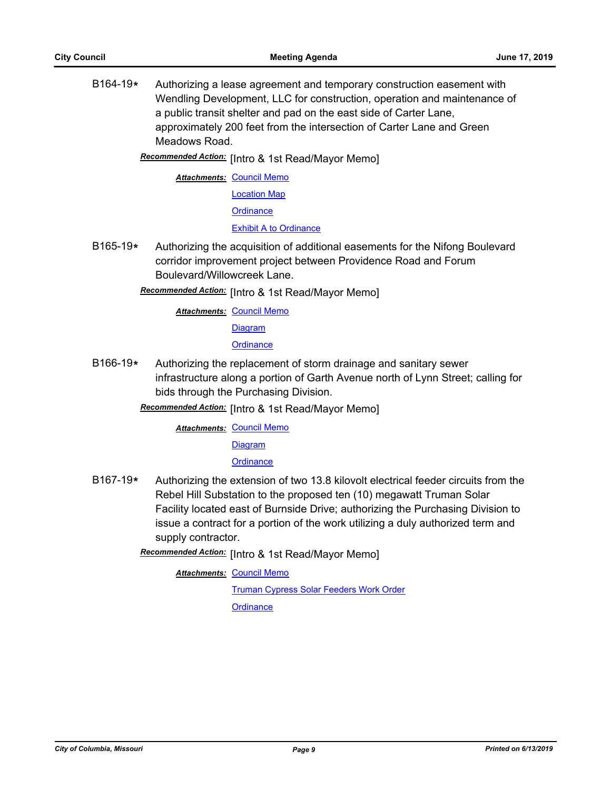B164-19**\*** Authorizing a lease agreement and temporary construction easement with Wendling Development, LLC for construction, operation and maintenance of a public transit shelter and pad on the east side of Carter Lane, approximately 200 feet from the intersection of Carter Lane and Green Meadows Road.

[Intro & 1st Read/Mayor Memo] *Recommended Action:*

**Attachments: [Council Memo](http://gocolumbiamo.legistar.com/gateway.aspx?M=F&ID=e7531e4d-1156-44d2-bebc-7d5405118f12.docx)** [Location Map](http://gocolumbiamo.legistar.com/gateway.aspx?M=F&ID=faf73202-92cd-4e41-8dab-74ebc2d0ccb8.pdf) **[Ordinance](http://gocolumbiamo.legistar.com/gateway.aspx?M=F&ID=89226f59-6d5e-43ad-aa9d-0189a988034d.doc)** 

[Exhibit A to Ordinance](http://gocolumbiamo.legistar.com/gateway.aspx?M=F&ID=b9bd7bfc-d57e-41a4-924a-316757e1e763.pdf)

B165-19**\*** Authorizing the acquisition of additional easements for the Nifong Boulevard corridor improvement project between Providence Road and Forum Boulevard/Willowcreek Lane.

Recommended Action: [Intro & 1st Read/Mayor Memo]

**Attachments: [Council Memo](http://gocolumbiamo.legistar.com/gateway.aspx?M=F&ID=84ae0f88-ceb6-4f0c-bd4b-35a3b2ef9baa.docx)** 

**[Diagram](http://gocolumbiamo.legistar.com/gateway.aspx?M=F&ID=7075a37c-aea8-468d-8ee0-d8f722157776.pdf)** 

**[Ordinance](http://gocolumbiamo.legistar.com/gateway.aspx?M=F&ID=ca78fba8-a9f1-44b0-8df2-d99b65a6c288.doc)** 

B166-19**\*** Authorizing the replacement of storm drainage and sanitary sewer infrastructure along a portion of Garth Avenue north of Lynn Street; calling for bids through the Purchasing Division.

**Recommended Action:** [Intro & 1st Read/Mayor Memo]

**Attachments: [Council Memo](http://gocolumbiamo.legistar.com/gateway.aspx?M=F&ID=5a394ce2-a67c-47ea-b531-484111a2c75c.docx)** 

**[Diagram](http://gocolumbiamo.legistar.com/gateway.aspx?M=F&ID=70e4b74c-0f95-46bf-a99b-7eaaa9da2c4a.pdf)** 

**[Ordinance](http://gocolumbiamo.legistar.com/gateway.aspx?M=F&ID=3b4119a3-88b8-484d-b6fc-d10789fd9574.doc)** 

B167-19**\*** Authorizing the extension of two 13.8 kilovolt electrical feeder circuits from the Rebel Hill Substation to the proposed ten (10) megawatt Truman Solar Facility located east of Burnside Drive; authorizing the Purchasing Division to issue a contract for a portion of the work utilizing a duly authorized term and supply contractor.

**Recommended Action:** [Intro & 1st Read/Mayor Memo]

**Attachments: [Council Memo](http://gocolumbiamo.legistar.com/gateway.aspx?M=F&ID=bc0d484b-40dd-4799-a110-454c43e23c3d.docx)** 

[Truman Cypress Solar Feeders Work Order](http://gocolumbiamo.legistar.com/gateway.aspx?M=F&ID=c4791798-21f8-44ee-910a-58cb6d57ce1d.pdf) **[Ordinance](http://gocolumbiamo.legistar.com/gateway.aspx?M=F&ID=292c5163-a1eb-45dd-9b12-8e32c3136a38.doc)**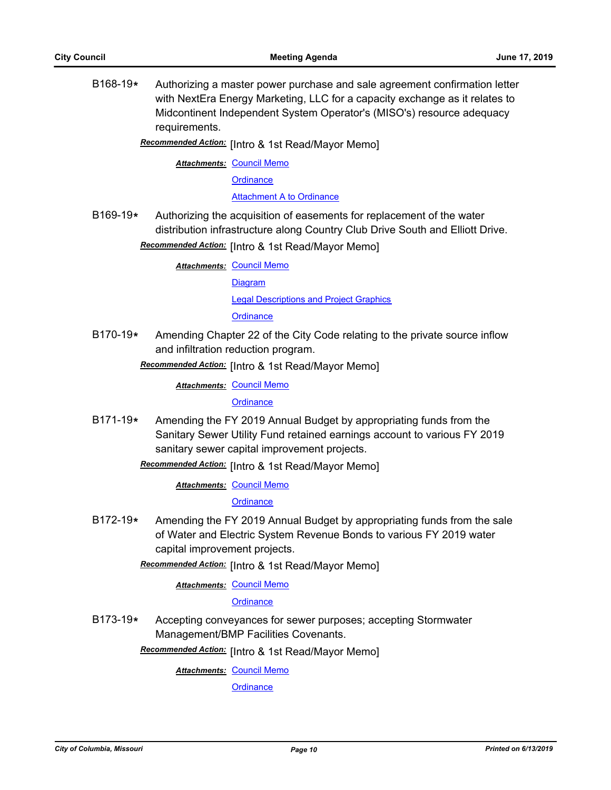B168-19**\*** Authorizing a master power purchase and sale agreement confirmation letter with NextEra Energy Marketing, LLC for a capacity exchange as it relates to Midcontinent Independent System Operator's (MISO's) resource adequacy requirements.

# Recommended Action: [Intro & 1st Read/Mayor Memo]

**Attachments: [Council Memo](http://gocolumbiamo.legistar.com/gateway.aspx?M=F&ID=59d4b6d0-ce81-46aa-84d1-7cf4733e3ce7.docx)** 

**[Ordinance](http://gocolumbiamo.legistar.com/gateway.aspx?M=F&ID=e8714ed8-537e-4b28-bc78-6b80a9ff29dc.doc)** 

[Attachment A to Ordinance](http://gocolumbiamo.legistar.com/gateway.aspx?M=F&ID=00b0ce8c-1de0-440b-a1b4-201884624452.pdf)

- B169-19**\*** Authorizing the acquisition of easements for replacement of the water distribution infrastructure along Country Club Drive South and Elliott Drive.
	- Recommended Action: [Intro & 1st Read/Mayor Memo]

**Attachments: [Council Memo](http://gocolumbiamo.legistar.com/gateway.aspx?M=F&ID=0a0f05c6-34c1-463c-9d79-b6a94bd729df.docx)** 

[Diagram](http://gocolumbiamo.legistar.com/gateway.aspx?M=F&ID=953dea78-d3d0-4888-9106-dcd328cfc051.pdf)

[Legal Descriptions and Project Graphics](http://gocolumbiamo.legistar.com/gateway.aspx?M=F&ID=bc1f5169-6a0f-4d58-94de-0be3ccc4b583.pdf)

**[Ordinance](http://gocolumbiamo.legistar.com/gateway.aspx?M=F&ID=bc60590c-fe31-4023-be98-43a9e176b960.doc)** 

B170-19**\*** Amending Chapter 22 of the City Code relating to the private source inflow and infiltration reduction program.

Recommended Action: [Intro & 1st Read/Mayor Memo]

**Attachments: [Council Memo](http://gocolumbiamo.legistar.com/gateway.aspx?M=F&ID=ad429ce6-b10b-4ead-a9a4-8d9ea6777340.docx)** 

**[Ordinance](http://gocolumbiamo.legistar.com/gateway.aspx?M=F&ID=77924cb3-217a-4b9a-b846-0219b155a9e1.doc)** 

B171-19**\*** Amending the FY 2019 Annual Budget by appropriating funds from the Sanitary Sewer Utility Fund retained earnings account to various FY 2019 sanitary sewer capital improvement projects.

**Recommended Action:** [Intro & 1st Read/Mayor Memo]

**Attachments: [Council Memo](http://gocolumbiamo.legistar.com/gateway.aspx?M=F&ID=149dba7c-a30d-42b6-862c-b920258701f2.docx)** 

**[Ordinance](http://gocolumbiamo.legistar.com/gateway.aspx?M=F&ID=89da3655-f693-45d9-bdf0-b545e9f82778.doc)** 

B172-19**\*** Amending the FY 2019 Annual Budget by appropriating funds from the sale of Water and Electric System Revenue Bonds to various FY 2019 water capital improvement projects.

Recommended Action: [Intro & 1st Read/Mayor Memo]

**Attachments: [Council Memo](http://gocolumbiamo.legistar.com/gateway.aspx?M=F&ID=d1ec67c1-ac3a-425c-b8ec-e0d7affd3359.docx)** 

**[Ordinance](http://gocolumbiamo.legistar.com/gateway.aspx?M=F&ID=3d0b0471-f9be-4afe-9a88-db89fd01c42f.doc)** 

B173-19**\*** Accepting conveyances for sewer purposes; accepting Stormwater Management/BMP Facilities Covenants.

Recommended Action: [Intro & 1st Read/Mayor Memo]

**Attachments: [Council Memo](http://gocolumbiamo.legistar.com/gateway.aspx?M=F&ID=65411acc-76dc-4df4-88b2-f10e1d3930e9.docx)** 

**[Ordinance](http://gocolumbiamo.legistar.com/gateway.aspx?M=F&ID=0a8ec848-12b3-4043-a093-b74b5cd1c20d.doc)**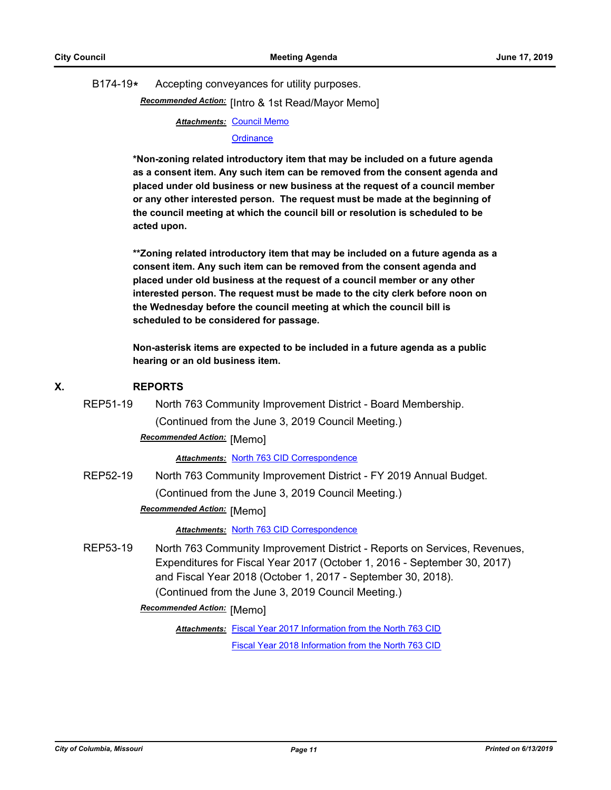B174-19**\*** Accepting conveyances for utility purposes.

Recommended Action: [Intro & 1st Read/Mayor Memo]

**Attachments: [Council Memo](http://gocolumbiamo.legistar.com/gateway.aspx?M=F&ID=051849a0-f1b2-4388-b4db-62f92c73d9fc.docx)** 

#### **[Ordinance](http://gocolumbiamo.legistar.com/gateway.aspx?M=F&ID=883b8a8f-ad81-4fae-8478-7c6632ad7588.doc)**

**\*Non-zoning related introductory item that may be included on a future agenda as a consent item. Any such item can be removed from the consent agenda and placed under old business or new business at the request of a council member or any other interested person. The request must be made at the beginning of the council meeting at which the council bill or resolution is scheduled to be acted upon.** 

**\*\*Zoning related introductory item that may be included on a future agenda as a consent item. Any such item can be removed from the consent agenda and placed under old business at the request of a council member or any other interested person. The request must be made to the city clerk before noon on the Wednesday before the council meeting at which the council bill is scheduled to be considered for passage.**

**Non-asterisk items are expected to be included in a future agenda as a public hearing or an old business item.**

#### **X. REPORTS**

REP51-19 North 763 Community Improvement District - Board Membership.

(Continued from the June 3, 2019 Council Meeting.)

# **Recommended Action:** [Memo]

*Attachments:* [North 763 CID Correspondence](http://gocolumbiamo.legistar.com/gateway.aspx?M=F&ID=82eabfb8-981e-453b-8217-60cfa93829c3.pdf)

REP52-19 North 763 Community Improvement District - FY 2019 Annual Budget. (Continued from the June 3, 2019 Council Meeting.)

## **Recommended Action:** [Memo]

*Attachments:* [North 763 CID Correspondence](http://gocolumbiamo.legistar.com/gateway.aspx?M=F&ID=b6027a7b-fd6d-4ae7-9830-b993df15b444.pdf)

REP53-19 North 763 Community Improvement District - Reports on Services, Revenues, Expenditures for Fiscal Year 2017 (October 1, 2016 - September 30, 2017) and Fiscal Year 2018 (October 1, 2017 - September 30, 2018). (Continued from the June 3, 2019 Council Meeting.)

**Recommended Action: [Memo]** 

Attachments: [Fiscal Year 2017 Information from the North 763 CID](http://gocolumbiamo.legistar.com/gateway.aspx?M=F&ID=3fc21e09-4ede-45ae-ab29-c028a9c672bd.pdf)

[Fiscal Year 2018 Information from the North 763 CID](http://gocolumbiamo.legistar.com/gateway.aspx?M=F&ID=ec6437e6-dcd1-4fbb-9c50-41c7e07825f7.pdf)